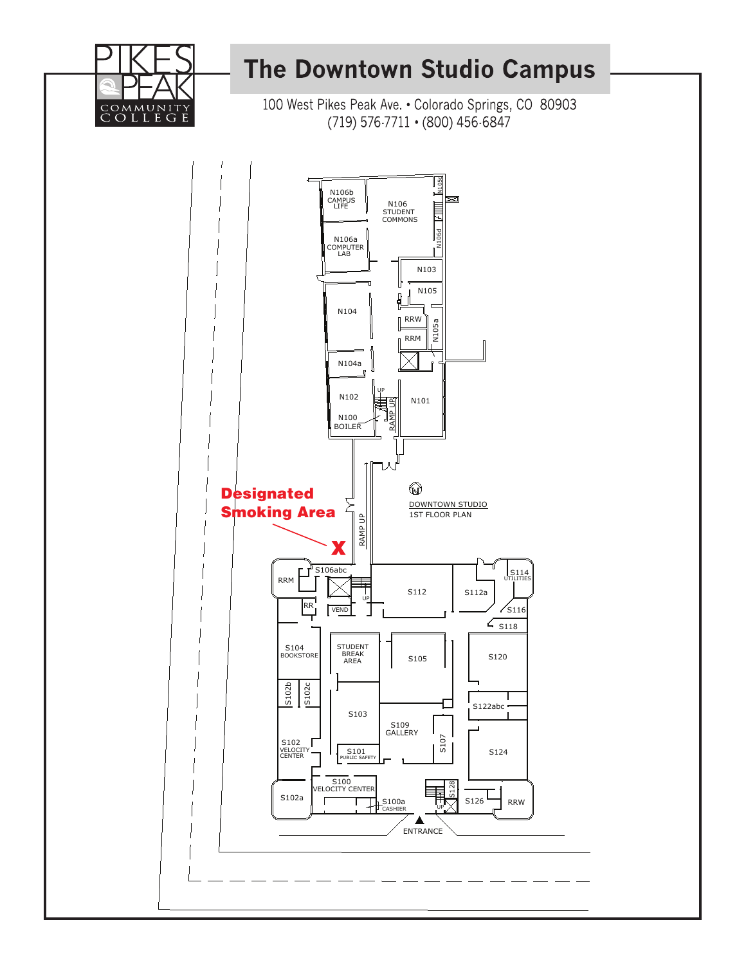

## **The Downtown Studio Campus**

100 West Pikes Peak Ave. . Colorado Springs, CO 80903 (719) 576-7711 • (800) 456-6847